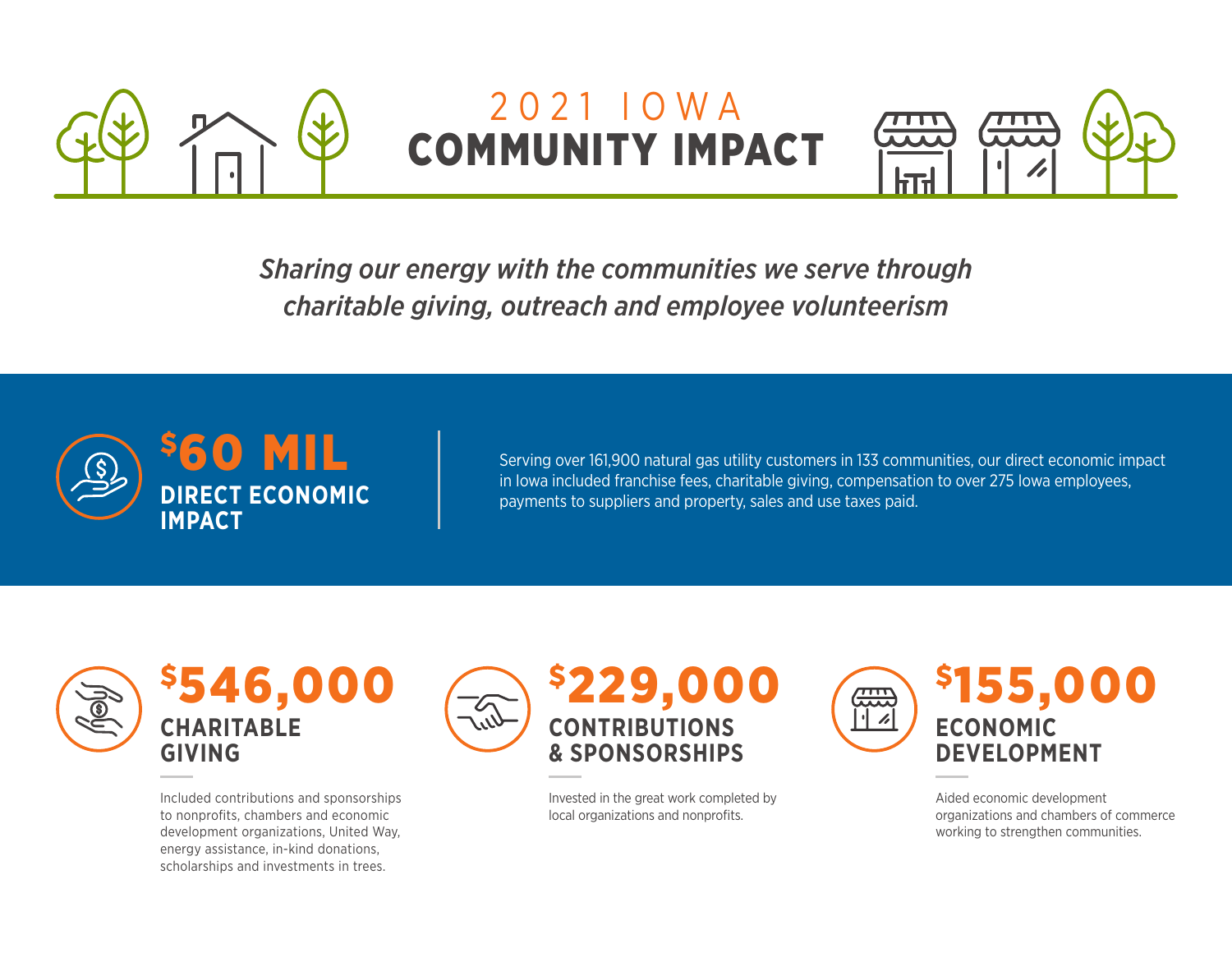

## 2021 IOWA COMMUNITY IMPACT



*Sharing our energy with the communities we serve through charitable giving, outreach and employee volunteerism*



Serving over 161,900 natural gas utility customers in 133 communities, our direct economic impact in Iowa included franchise fees, charitable giving, compensation to over 275 Iowa employees, payments to suppliers and property, sales and use taxes paid.



\$546,000 **CHARITABLE GIVING**

Included contributions and sponsorships to nonprofits, chambers and economic development organizations, United Way, energy assistance, in-kind donations, scholarships and investments in trees.



Invested in the great work completed by local organizations and nonprofits.



Aided economic development organizations and chambers of commerce working to strengthen communities.